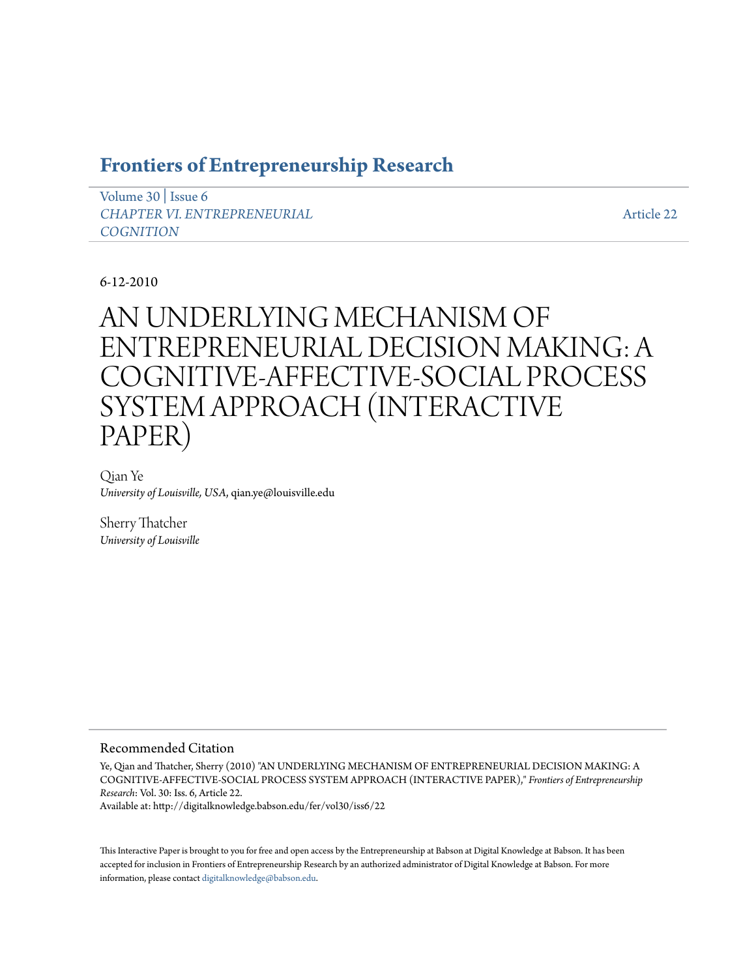# **[Frontiers of Entrepreneurship Research](http://digitalknowledge.babson.edu/fer)**

[Volume 30](http://digitalknowledge.babson.edu/fer/vol30) | [Issue 6](http://digitalknowledge.babson.edu/fer/vol30/iss6) *[CHAPTER VI. ENTREPRENEURIAL](http://digitalknowledge.babson.edu/fer/vol30/iss6) [COGNITION](http://digitalknowledge.babson.edu/fer/vol30/iss6)*

[Article 22](http://digitalknowledge.babson.edu/fer/vol30/iss6/22)

# 6-12-2010

# AN UNDERLYING MECHANISM OF ENTREPRENEURIAL DECISION MAKING: A COGNITIVE-AFFECTIVE-SOCIAL PROCESS SYSTEM APPROACH (INTERACTIVE PAPER)

Qian Ye *University of Louisville, USA*, qian.ye@louisville.edu

Sherry Thatcher *University of Louisville*

## Recommended Citation

Ye, Qian and Thatcher, Sherry (2010) "AN UNDERLYING MECHANISM OF ENTREPRENEURIAL DECISION MAKING: A COGNITIVE-AFFECTIVE-SOCIAL PROCESS SYSTEM APPROACH (INTERACTIVE PAPER)," *Frontiers of Entrepreneurship Research*: Vol. 30: Iss. 6, Article 22.

Available at: http://digitalknowledge.babson.edu/fer/vol30/iss6/22

This Interactive Paper is brought to you for free and open access by the Entrepreneurship at Babson at Digital Knowledge at Babson. It has been accepted for inclusion in Frontiers of Entrepreneurship Research by an authorized administrator of Digital Knowledge at Babson. For more information, please contact [digitalknowledge@babson.edu.](mailto:digitalknowledge@babson.edu)